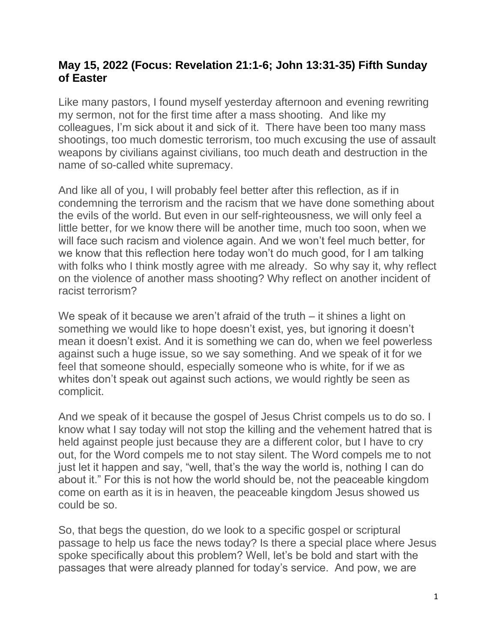## **May 15, 2022 (Focus: Revelation 21:1-6; John 13:31-35) Fifth Sunday of Easter**

Like many pastors, I found myself yesterday afternoon and evening rewriting my sermon, not for the first time after a mass shooting. And like my colleagues, I'm sick about it and sick of it. There have been too many mass shootings, too much domestic terrorism, too much excusing the use of assault weapons by civilians against civilians, too much death and destruction in the name of so-called white supremacy.

And like all of you, I will probably feel better after this reflection, as if in condemning the terrorism and the racism that we have done something about the evils of the world. But even in our self-righteousness, we will only feel a little better, for we know there will be another time, much too soon, when we will face such racism and violence again. And we won't feel much better, for we know that this reflection here today won't do much good, for I am talking with folks who I think mostly agree with me already. So why say it, why reflect on the violence of another mass shooting? Why reflect on another incident of racist terrorism?

We speak of it because we aren't afraid of the truth – it shines a light on something we would like to hope doesn't exist, yes, but ignoring it doesn't mean it doesn't exist. And it is something we can do, when we feel powerless against such a huge issue, so we say something. And we speak of it for we feel that someone should, especially someone who is white, for if we as whites don't speak out against such actions, we would rightly be seen as complicit.

And we speak of it because the gospel of Jesus Christ compels us to do so. I know what I say today will not stop the killing and the vehement hatred that is held against people just because they are a different color, but I have to cry out, for the Word compels me to not stay silent. The Word compels me to not just let it happen and say, "well, that's the way the world is, nothing I can do about it." For this is not how the world should be, not the peaceable kingdom come on earth as it is in heaven, the peaceable kingdom Jesus showed us could be so.

So, that begs the question, do we look to a specific gospel or scriptural passage to help us face the news today? Is there a special place where Jesus spoke specifically about this problem? Well, let's be bold and start with the passages that were already planned for today's service. And pow, we are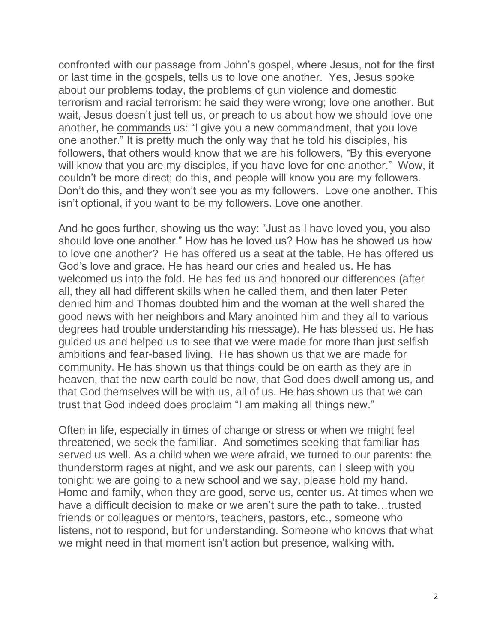confronted with our passage from John's gospel, where Jesus, not for the first or last time in the gospels, tells us to love one another. Yes, Jesus spoke about our problems today, the problems of gun violence and domestic terrorism and racial terrorism: he said they were wrong; love one another. But wait, Jesus doesn't just tell us, or preach to us about how we should love one another, he commands us: "I give you a new commandment, that you love one another." It is pretty much the only way that he told his disciples, his followers, that others would know that we are his followers, "By this everyone will know that you are my disciples, if you have love for one another." Wow, it couldn't be more direct; do this, and people will know you are my followers. Don't do this, and they won't see you as my followers. Love one another. This isn't optional, if you want to be my followers. Love one another.

And he goes further, showing us the way: "Just as I have loved you, you also should love one another." How has he loved us? How has he showed us how to love one another? He has offered us a seat at the table. He has offered us God's love and grace. He has heard our cries and healed us. He has welcomed us into the fold. He has fed us and honored our differences (after all, they all had different skills when he called them, and then later Peter denied him and Thomas doubted him and the woman at the well shared the good news with her neighbors and Mary anointed him and they all to various degrees had trouble understanding his message). He has blessed us. He has guided us and helped us to see that we were made for more than just selfish ambitions and fear-based living. He has shown us that we are made for community. He has shown us that things could be on earth as they are in heaven, that the new earth could be now, that God does dwell among us, and that God themselves will be with us, all of us. He has shown us that we can trust that God indeed does proclaim "I am making all things new."

Often in life, especially in times of change or stress or when we might feel threatened, we seek the familiar. And sometimes seeking that familiar has served us well. As a child when we were afraid, we turned to our parents: the thunderstorm rages at night, and we ask our parents, can I sleep with you tonight; we are going to a new school and we say, please hold my hand. Home and family, when they are good, serve us, center us. At times when we have a difficult decision to make or we aren't sure the path to take…trusted friends or colleagues or mentors, teachers, pastors, etc., someone who listens, not to respond, but for understanding. Someone who knows that what we might need in that moment isn't action but presence, walking with.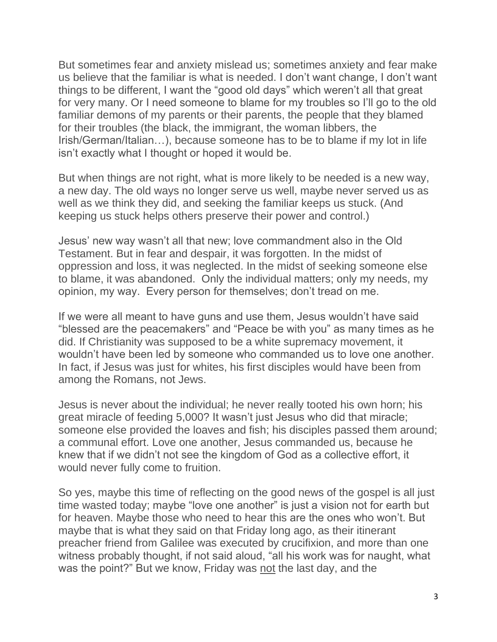But sometimes fear and anxiety mislead us; sometimes anxiety and fear make us believe that the familiar is what is needed. I don't want change, I don't want things to be different, I want the "good old days" which weren't all that great for very many. Or I need someone to blame for my troubles so I'll go to the old familiar demons of my parents or their parents, the people that they blamed for their troubles (the black, the immigrant, the woman libbers, the Irish/German/Italian…), because someone has to be to blame if my lot in life isn't exactly what I thought or hoped it would be.

But when things are not right, what is more likely to be needed is a new way, a new day. The old ways no longer serve us well, maybe never served us as well as we think they did, and seeking the familiar keeps us stuck. (And keeping us stuck helps others preserve their power and control.)

Jesus' new way wasn't all that new; love commandment also in the Old Testament. But in fear and despair, it was forgotten. In the midst of oppression and loss, it was neglected. In the midst of seeking someone else to blame, it was abandoned. Only the individual matters; only my needs, my opinion, my way. Every person for themselves; don't tread on me.

If we were all meant to have guns and use them, Jesus wouldn't have said "blessed are the peacemakers" and "Peace be with you" as many times as he did. If Christianity was supposed to be a white supremacy movement, it wouldn't have been led by someone who commanded us to love one another. In fact, if Jesus was just for whites, his first disciples would have been from among the Romans, not Jews.

Jesus is never about the individual; he never really tooted his own horn; his great miracle of feeding 5,000? It wasn't just Jesus who did that miracle; someone else provided the loaves and fish; his disciples passed them around; a communal effort. Love one another, Jesus commanded us, because he knew that if we didn't not see the kingdom of God as a collective effort, it would never fully come to fruition.

So yes, maybe this time of reflecting on the good news of the gospel is all just time wasted today; maybe "love one another" is just a vision not for earth but for heaven. Maybe those who need to hear this are the ones who won't. But maybe that is what they said on that Friday long ago, as their itinerant preacher friend from Galilee was executed by crucifixion, and more than one witness probably thought, if not said aloud, "all his work was for naught, what was the point?" But we know, Friday was not the last day, and the